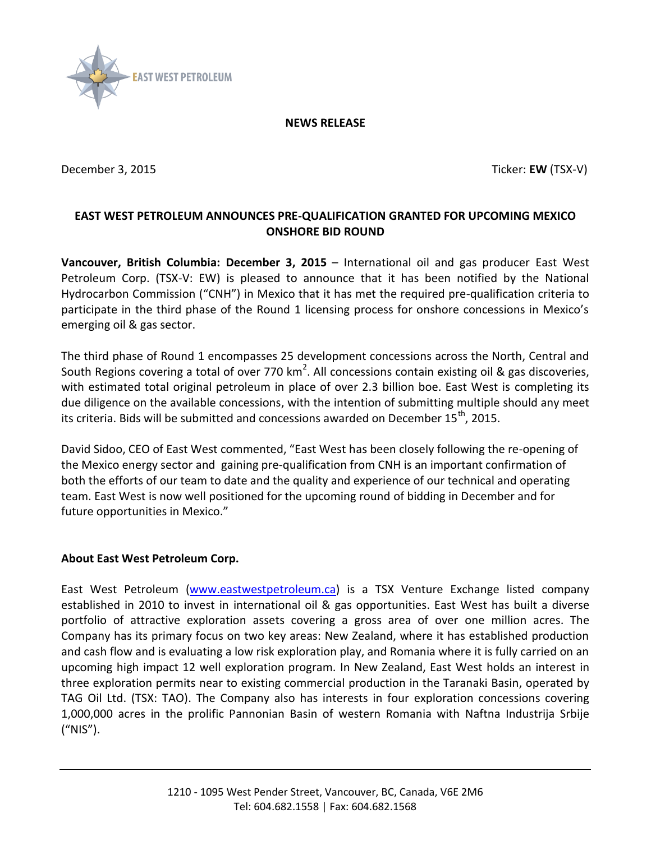

## **NEWS RELEASE**

<span id="page-0-0"></span>December 3, 2015 **Ticker: EW** (TSX-V)

## **EAST WEST PETROLEUM ANNOUNCES PRE-QUALIFICATION GRANTED FOR UPCOMING MEXICO ONSHORE BID ROUND**

**Vancouver, British Columbia: [December 3, 2015](#page-0-0)** – International oil and gas producer East West Petroleum Corp. (TSX-V: EW) is pleased to announce that it has been notified by the National Hydrocarbon Commission ("CNH") in Mexico that it has met the required pre-qualification criteria to participate in the third phase of the Round 1 licensing process for onshore concessions in Mexico's emerging oil & gas sector.

The third phase of Round 1 encompasses 25 development concessions across the North, Central and South Regions covering a total of over 770 km<sup>2</sup>. All concessions contain existing oil & gas discoveries, with estimated total original petroleum in place of over 2.3 billion boe. East West is completing its due diligence on the available concessions, with the intention of submitting multiple should any meet its criteria. Bids will be submitted and concessions awarded on December 15<sup>th</sup>, 2015.

David Sidoo, CEO of East West commented, "East West has been closely following the re-opening of the Mexico energy sector and gaining pre-qualification from CNH is an important confirmation of both the efforts of our team to date and the quality and experience of our technical and operating team. East West is now well positioned for the upcoming round of bidding in December and for future opportunities in Mexico."

## **About East West Petroleum Corp.**

East West Petroleum [\(www.eastwestpetroleum.ca\)](http://www.eastwestpetroleum.ca/) is a TSX Venture Exchange listed company established in 2010 to invest in international oil & gas opportunities. East West has built a diverse portfolio of attractive exploration assets covering a gross area of over one million acres. The Company has its primary focus on two key areas: New Zealand, where it has established production and cash flow and is evaluating a low risk exploration play, and Romania where it is fully carried on an upcoming high impact 12 well exploration program. In New Zealand, East West holds an interest in three exploration permits near to existing commercial production in the Taranaki Basin, operated by TAG Oil Ltd. (TSX: TAO). The Company also has interests in four exploration concessions covering 1,000,000 acres in the prolific Pannonian Basin of western Romania with Naftna Industrija Srbije ("NIS").